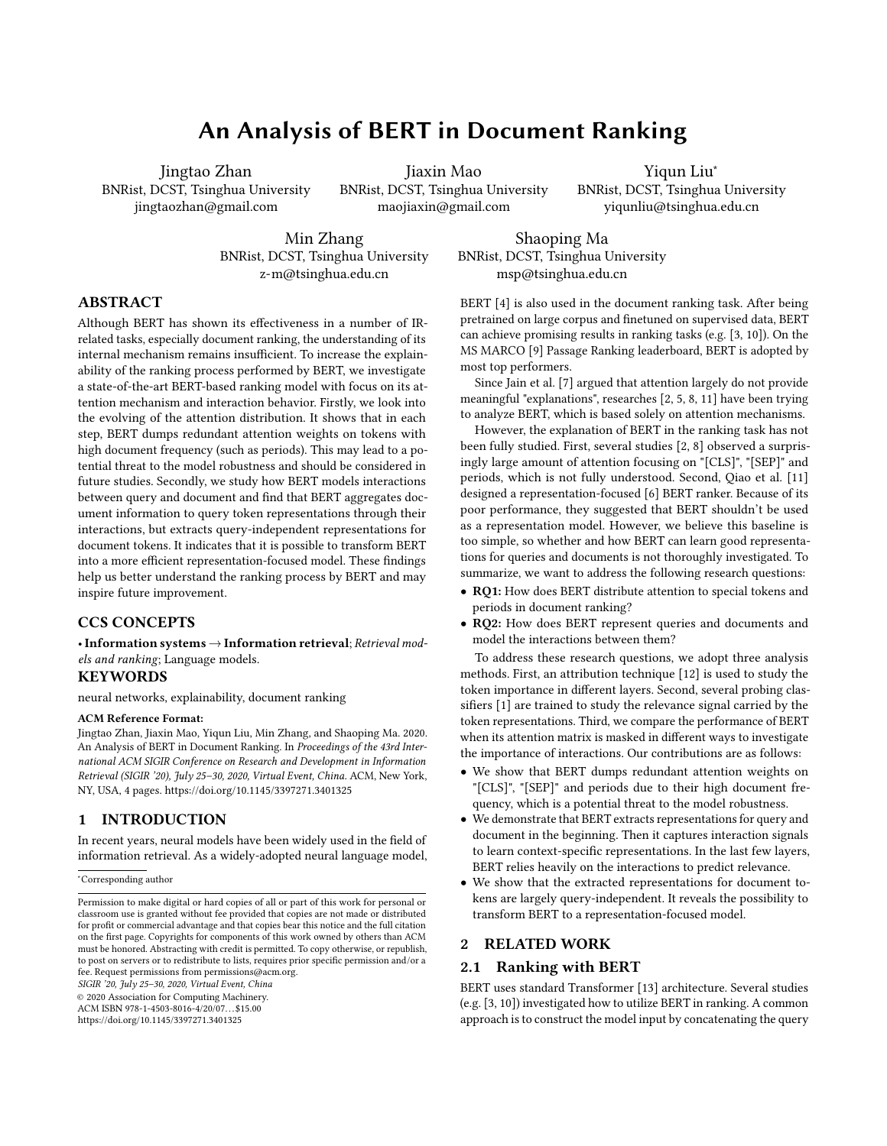# An Analysis of BERT in Document Ranking

Jingtao Zhan BNRist, DCST, Tsinghua University jingtaozhan@gmail.com

Jiaxin Mao BNRist, DCST, Tsinghua University maojiaxin@gmail.com

Yiqun Liu<sup>∗</sup> BNRist, DCST, Tsinghua University yiqunliu@tsinghua.edu.cn

Min Zhang BNRist, DCST, Tsinghua University z-m@tsinghua.edu.cn

Shaoping Ma BNRist, DCST, Tsinghua University msp@tsinghua.edu.cn

# ABSTRACT

Although BERT has shown its effectiveness in a number of IRrelated tasks, especially document ranking, the understanding of its internal mechanism remains insufficient. To increase the explainability of the ranking process performed by BERT, we investigate a state-of-the-art BERT-based ranking model with focus on its attention mechanism and interaction behavior. Firstly, we look into the evolving of the attention distribution. It shows that in each step, BERT dumps redundant attention weights on tokens with high document frequency (such as periods). This may lead to a potential threat to the model robustness and should be considered in future studies. Secondly, we study how BERT models interactions between query and document and find that BERT aggregates document information to query token representations through their interactions, but extracts query-independent representations for document tokens. It indicates that it is possible to transform BERT into a more efficient representation-focused model. These findings help us better understand the ranking process by BERT and may inspire future improvement.

## CCS CONCEPTS

• Information systems  $\rightarrow$  Information retrieval; Retrieval models and ranking; Language models.

## KEYWORDS

neural networks, explainability, document ranking

#### ACM Reference Format:

Jingtao Zhan, Jiaxin Mao, Yiqun Liu, Min Zhang, and Shaoping Ma. 2020. An Analysis of BERT in Document Ranking. In Proceedings of the 43rd International ACM SIGIR Conference on Research and Development in Information Retrieval (SIGIR '20), July 25–30, 2020, Virtual Event, China. ACM, New York, NY, USA, [4](#page-3-0) pages.<https://doi.org/10.1145/3397271.3401325>

## 1 INTRODUCTION

In recent years, neural models have been widely used in the field of information retrieval. As a widely-adopted neural language model,

<sup>∗</sup>Corresponding author

SIGIR '20, July 25–30, 2020, Virtual Event, China

© 2020 Association for Computing Machinery.

ACM ISBN 978-1-4503-8016-4/20/07. . . \$15.00

<https://doi.org/10.1145/3397271.3401325>

BERT [\[4\]](#page-3-1) is also used in the document ranking task. After being pretrained on large corpus and finetuned on supervised data, BERT can achieve promising results in ranking tasks (e.g. [\[3,](#page-3-2) [10\]](#page-3-3)). On the MS MARCO [\[9\]](#page-3-4) Passage Ranking leaderboard, BERT is adopted by most top performers.

Since Jain et al. [\[7\]](#page-3-5) argued that attention largely do not provide meaningful "explanations", researches [\[2,](#page-3-6) [5,](#page-3-7) [8,](#page-3-8) [11\]](#page-3-9) have been trying to analyze BERT, which is based solely on attention mechanisms.

However, the explanation of BERT in the ranking task has not been fully studied. First, several studies [\[2,](#page-3-6) [8\]](#page-3-8) observed a surprisingly large amount of attention focusing on "[CLS]", "[SEP]" and periods, which is not fully understood. Second, Qiao et al. [\[11\]](#page-3-9) designed a representation-focused [\[6\]](#page-3-10) BERT ranker. Because of its poor performance, they suggested that BERT shouldn't be used as a representation model. However, we believe this baseline is too simple, so whether and how BERT can learn good representations for queries and documents is not thoroughly investigated. To summarize, we want to address the following research questions:

- RQ1: How does BERT distribute attention to special tokens and periods in document ranking?
- RQ2: How does BERT represent queries and documents and model the interactions between them?

To address these research questions, we adopt three analysis methods. First, an attribution technique [\[12\]](#page-3-11) is used to study the token importance in different layers. Second, several probing classifiers [\[1\]](#page-3-12) are trained to study the relevance signal carried by the token representations. Third, we compare the performance of BERT when its attention matrix is masked in different ways to investigate the importance of interactions. Our contributions are as follows:

- We show that BERT dumps redundant attention weights on "[CLS]", "[SEP]" and periods due to their high document frequency, which is a potential threat to the model robustness.
- We demonstrate that BERT extracts representations for query and document in the beginning. Then it captures interaction signals to learn context-specific representations. In the last few layers, BERT relies heavily on the interactions to predict relevance.
- We show that the extracted representations for document tokens are largely query-independent. It reveals the possibility to transform BERT to a representation-focused model.

## 2 RELATED WORK

## 2.1 Ranking with BERT

BERT uses standard Transformer [\[13\]](#page-3-13) architecture. Several studies (e.g. [\[3,](#page-3-2) [10\]](#page-3-3)) investigated how to utilize BERT in ranking. A common approach is to construct the model input by concatenating the query

Permission to make digital or hard copies of all or part of this work for personal or classroom use is granted without fee provided that copies are not made or distributed for profit or commercial advantage and that copies bear this notice and the full citation on the first page. Copyrights for components of this work owned by others than ACM must be honored. Abstracting with credit is permitted. To copy otherwise, or republish, to post on servers or to redistribute to lists, requires prior specific permission and/or a fee. Request permissions from permissions@acm.org.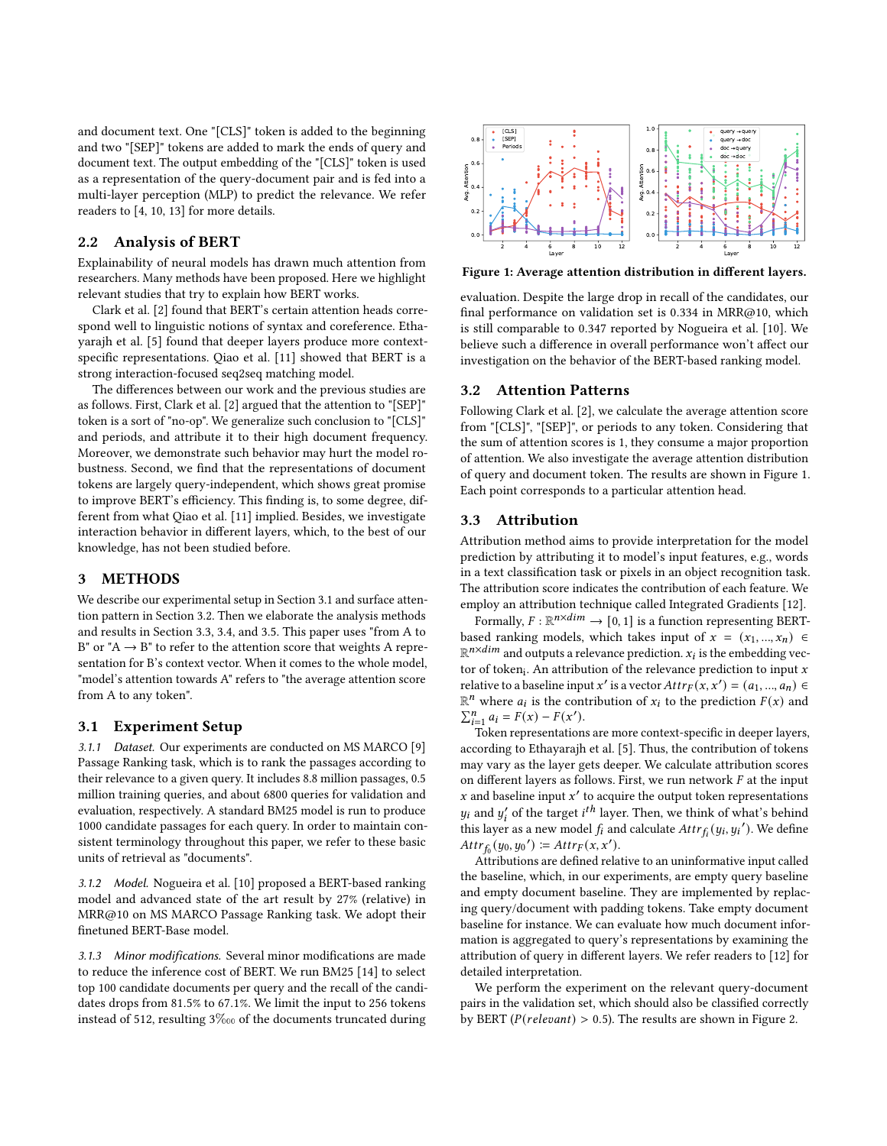and document text. One "[CLS]" token is added to the beginning and two "[SEP]" tokens are added to mark the ends of query and document text. The output embedding of the "[CLS]" token is used as a representation of the query-document pair and is fed into a multi-layer perception (MLP) to predict the relevance. We refer readers to [\[4,](#page-3-1) [10,](#page-3-3) [13\]](#page-3-13) for more details.

## 2.2 Analysis of BERT

Explainability of neural models has drawn much attention from researchers. Many methods have been proposed. Here we highlight relevant studies that try to explain how BERT works.

Clark et al. [\[2\]](#page-3-6) found that BERT's certain attention heads correspond well to linguistic notions of syntax and coreference. Ethayarajh et al. [\[5\]](#page-3-7) found that deeper layers produce more contextspecific representations. Qiao et al. [\[11\]](#page-3-9) showed that BERT is a strong interaction-focused seq2seq matching model.

The differences between our work and the previous studies are as follows. First, Clark et al. [\[2\]](#page-3-6) argued that the attention to "[SEP]" token is a sort of "no-op". We generalize such conclusion to "[CLS]" and periods, and attribute it to their high document frequency. Moreover, we demonstrate such behavior may hurt the model robustness. Second, we find that the representations of document tokens are largely query-independent, which shows great promise to improve BERT's efficiency. This finding is, to some degree, different from what Qiao et al. [\[11\]](#page-3-9) implied. Besides, we investigate interaction behavior in different layers, which, to the best of our knowledge, has not been studied before.

### 3 METHODS

We describe our experimental setup in Section [3.1](#page-1-0) and surface attention pattern in Section [3.2.](#page-1-1) Then we elaborate the analysis methods and results in Section [3.3,](#page-1-2) [3.4,](#page-2-0) and [3.5.](#page-2-1) This paper uses "from A to B" or "A  $\rightarrow$  B" to refer to the attention score that weights A representation for B's context vector. When it comes to the whole model, "model's attention towards A" refers to "the average attention score from A to any token".

#### <span id="page-1-0"></span>3.1 Experiment Setup

3.1.1 Dataset. Our experiments are conducted on MS MARCO [\[9\]](#page-3-4) Passage Ranking task, which is to rank the passages according to their relevance to a given query. It includes 8.8 million passages, 0.5 million training queries, and about 6800 queries for validation and evaluation, respectively. A standard BM25 model is run to produce 1000 candidate passages for each query. In order to maintain consistent terminology throughout this paper, we refer to these basic units of retrieval as "documents".

3.1.2 Model. Nogueira et al. [\[10\]](#page-3-3) proposed a BERT-based ranking model and advanced state of the art result by 27% (relative) in MRR@10 on MS MARCO Passage Ranking task. We adopt their finetuned BERT-Base model.

3.1.3 Minor modifications. Several minor modifications are made to reduce the inference cost of BERT. We run BM25 [\[14\]](#page-3-14) to select top 100 candidate documents per query and the recall of the candidates drops from 81.5% to 67.1%. We limit the input to 256 tokens instead of 512, resulting 3‱of the documents truncated during

<span id="page-1-3"></span>

Figure 1: Average attention distribution in different layers.

evaluation. Despite the large drop in recall of the candidates, our final performance on validation set is 0.334 in MRR@10, which is still comparable to 0.347 reported by Nogueira et al. [\[10\]](#page-3-3). We believe such a difference in overall performance won't affect our investigation on the behavior of the BERT-based ranking model.

## <span id="page-1-1"></span>3.2 Attention Patterns

Following Clark et al. [\[2\]](#page-3-6), we calculate the average attention score from "[CLS]", "[SEP]", or periods to any token. Considering that the sum of attention scores is 1, they consume a major proportion of attention. We also investigate the average attention distribution of query and document token. The results are shown in Figure [1.](#page-1-3) Each point corresponds to a particular attention head.

#### <span id="page-1-2"></span>3.3 Attribution

Attribution method aims to provide interpretation for the model prediction by attributing it to model's input features, e.g., words in a text classification task or pixels in an object recognition task. The attribution score indicates the contribution of each feature. We employ an attribution technique called Integrated Gradients [\[12\]](#page-3-11).

Formally,  $F : \mathbb{R}^{n \times dim} \to [0, 1]$  is a function representing BERTbased ranking models, which takes input of  $x = (x_1, ..., x_n) \in$  $\mathbb{R}^{n \times dim}$  and outputs a relevance prediction.  $x_i$  is the embedding vector of token<sub>i</sub>. An attribution of the relevance prediction to input  $x$ relative to a baseline input x' is a vector  $Attr_F(x, x') = (a_1, ..., a_n) \in$  $\mathbb{R}^n$  where  $a_i$  is the contribution of  $x_i$  to the prediction  $F(x)$  and  $\sum_{i=1}^{n} a_i = F(x) - F(x').$ 

Token representations are more context-specific in deeper layers, according to Ethayarajh et al. [\[5\]](#page-3-7). Thus, the contribution of tokens may vary as the layer gets deeper. We calculate attribution scores on different layers as follows. First, we run network  $F$  at the input  $x$  and baseline input  $x'$  to acquire the output token representations  $y_i$  and  $y'_i$  of the target  $i^{th}$  layer. Then, we think of what's behind this layer as a new model  $f_i$  and calculate  $Attr_{f_i}(y_i, y_i')$ . We define  $Attr_{f_0}(y_0, y_0') \coloneqq Attr_F(x, x').$ 

Attributions are defined relative to an uninformative input called the baseline, which, in our experiments, are empty query baseline and empty document baseline. They are implemented by replacing query/document with padding tokens. Take empty document baseline for instance. We can evaluate how much document information is aggregated to query's representations by examining the attribution of query in different layers. We refer readers to [\[12\]](#page-3-11) for detailed interpretation.

We perform the experiment on the relevant query-document pairs in the validation set, which should also be classified correctly by BERT ( $P(relevant) > 0.5$ ). The results are shown in Figure [2.](#page-2-2)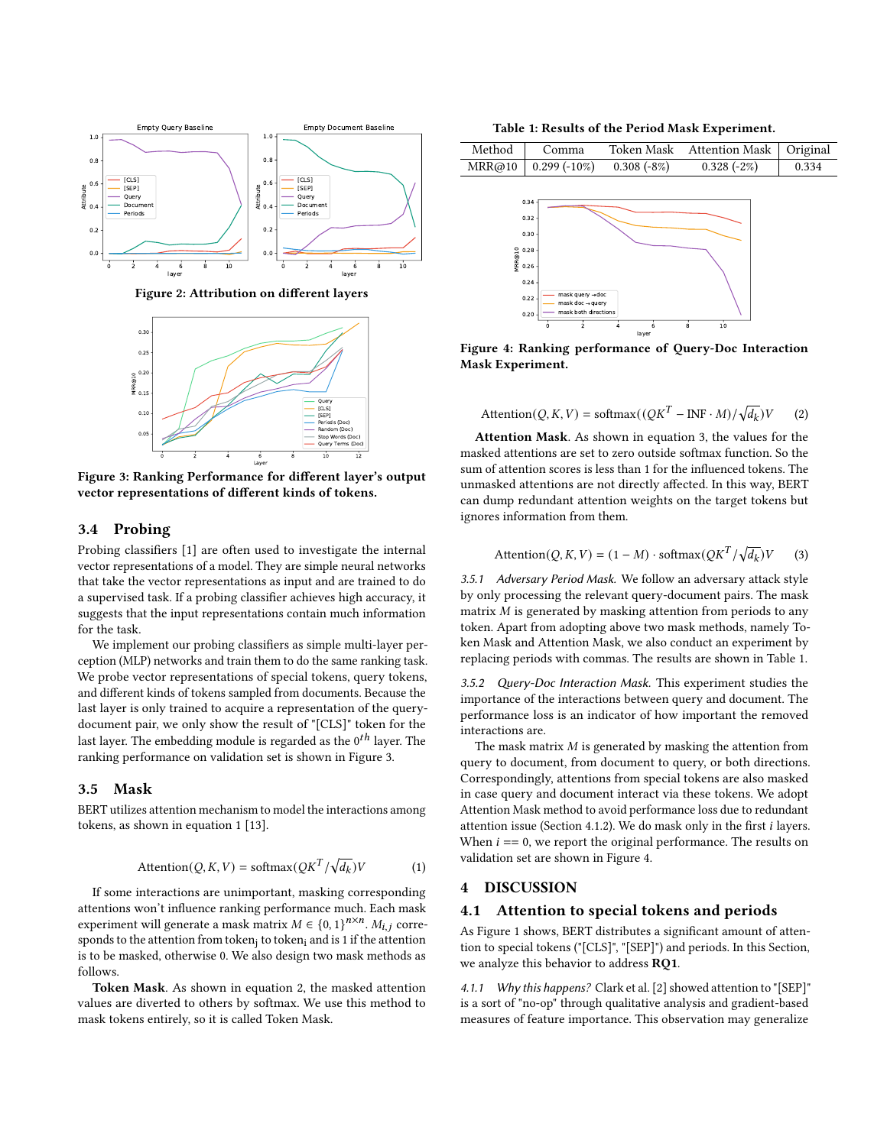<span id="page-2-2"></span>

Figure 2: Attribution on different layers

<span id="page-2-3"></span>

Figure 3: Ranking Performance for different layer's output vector representations of different kinds of tokens.

#### <span id="page-2-0"></span>3.4 Probing

Probing classifiers [\[1\]](#page-3-12) are often used to investigate the internal vector representations of a model. They are simple neural networks that take the vector representations as input and are trained to do a supervised task. If a probing classifier achieves high accuracy, it suggests that the input representations contain much information for the task.

We implement our probing classifiers as simple multi-layer perception (MLP) networks and train them to do the same ranking task. We probe vector representations of special tokens, query tokens, and different kinds of tokens sampled from documents. Because the last layer is only trained to acquire a representation of the querydocument pair, we only show the result of "[CLS]" token for the last layer. The embedding module is regarded as the  $0^{th}$  layer. The ranking performance on validation set is shown in Figure [3.](#page-2-3)

#### <span id="page-2-1"></span>3.5 Mask

BERT utilizes attention mechanism to model the interactions among tokens, as shown in equation [1](#page-2-4) [\[13\]](#page-3-13).

$$
Attention(Q, K, V) = softmax(QK^{T}/\sqrt{d_k})V
$$
 (1)

If some interactions are unimportant, masking corresponding attentions won't influence ranking performance much. Each mask experiment will generate a mask matrix  $M \in \{0, 1\}^{n \times n}$ .  $M_{i,j}$  corresponds to the attention from token $_{\rm j}$  to token $_{\rm i}$  and is 1 if the attention is to be masked, otherwise 0. We also design two mask methods as follows.

Token Mask. As shown in equation [2,](#page-2-5) the masked attention values are diverted to others by softmax. We use this method to mask tokens entirely, so it is called Token Mask.

Table 1: Results of the Period Mask Experiment.

<span id="page-2-8"></span><span id="page-2-7"></span>

Figure 4: Ranking performance of Query-Doc Interaction Mask Experiment.

<span id="page-2-5"></span>
$$
Attention(Q, K, V) = softmax((QKT - INF \cdot M)/\sqrt{d_k})V
$$
 (2)

Attention Mask. As shown in equation [3,](#page-2-6) the values for the masked attentions are set to zero outside softmax function. So the sum of attention scores is less than 1 for the influenced tokens. The unmasked attentions are not directly affected. In this way, BERT can dump redundant attention weights on the target tokens but ignores information from them.

<span id="page-2-6"></span>
$$
Attention(Q, K, V) = (1 - M) \cdot softmax(QK^{T}/\sqrt{d_k})V
$$
 (3)

3.5.1 Adversary Period Mask. We follow an adversary attack style by only processing the relevant query-document pairs. The mask matrix  $M$  is generated by masking attention from periods to any token. Apart from adopting above two mask methods, namely Token Mask and Attention Mask, we also conduct an experiment by replacing periods with commas. The results are shown in Table [1.](#page-2-7)

3.5.2 Query-Doc Interaction Mask. This experiment studies the importance of the interactions between query and document. The performance loss is an indicator of how important the removed interactions are.

The mask matrix  $M$  is generated by masking the attention from query to document, from document to query, or both directions. Correspondingly, attentions from special tokens are also masked in case query and document interact via these tokens. We adopt Attention Mask method to avoid performance loss due to redundant attention issue (Section [4.1.2\)](#page-3-15). We do mask only in the first  $i$  layers. When  $i = 0$ , we report the original performance. The results on validation set are shown in Figure [4.](#page-2-8)

#### <span id="page-2-4"></span>4 DISCUSSION

#### 4.1 Attention to special tokens and periods

As Figure [1](#page-1-3) shows, BERT distributes a significant amount of attention to special tokens ("[CLS]", "[SEP]") and periods. In this Section, we analyze this behavior to address RQ1.

4.1.1 Why this happens? Clark et al. [\[2\]](#page-3-6) showed attention to "[SEP]" is a sort of "no-op" through qualitative analysis and gradient-based measures of feature importance. This observation may generalize